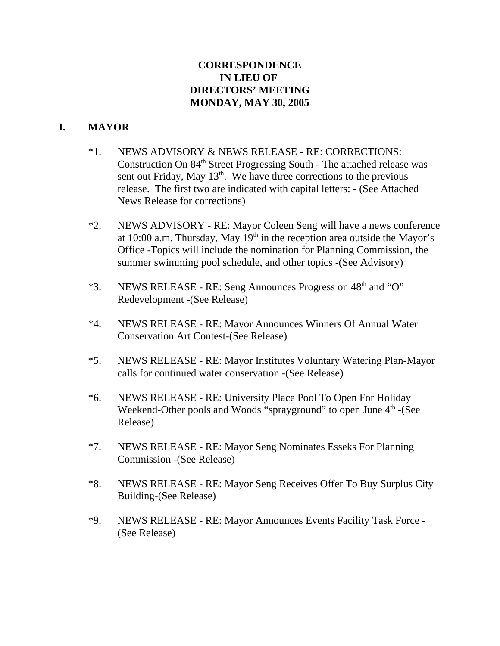# **CORRESPONDENCE IN LIEU OF DIRECTORS' MEETING MONDAY, MAY 30, 2005**

# **I. MAYOR**

- \*1. NEWS ADVISORY & NEWS RELEASE RE: CORRECTIONS: Construction On 84<sup>th</sup> Street Progressing South - The attached release was sent out Friday, May  $13<sup>th</sup>$ . We have three corrections to the previous release. The first two are indicated with capital letters: - (See Attached News Release for corrections)
- \*2. NEWS ADVISORY RE: Mayor Coleen Seng will have a news conference at 10:00 a.m. Thursday, May  $19<sup>th</sup>$  in the reception area outside the Mayor's Office -Topics will include the nomination for Planning Commission, the summer swimming pool schedule, and other topics -(See Advisory)
- $*3.$  NEWS RELEASE RE: Seng Announces Progress on  $48<sup>th</sup>$  and "O" Redevelopment -(See Release)
- \*4. NEWS RELEASE RE: Mayor Announces Winners Of Annual Water Conservation Art Contest-(See Release)
- \*5. NEWS RELEASE RE: Mayor Institutes Voluntary Watering Plan-Mayor calls for continued water conservation -(See Release)
- \*6. NEWS RELEASE RE: University Place Pool To Open For Holiday Weekend-Other pools and Woods "sprayground" to open June  $4<sup>th</sup>$  -(See Release)
- \*7. NEWS RELEASE RE: Mayor Seng Nominates Esseks For Planning Commission -(See Release)
- \*8. NEWS RELEASE RE: Mayor Seng Receives Offer To Buy Surplus City Building-(See Release)
- \*9. NEWS RELEASE RE: Mayor Announces Events Facility Task Force (See Release)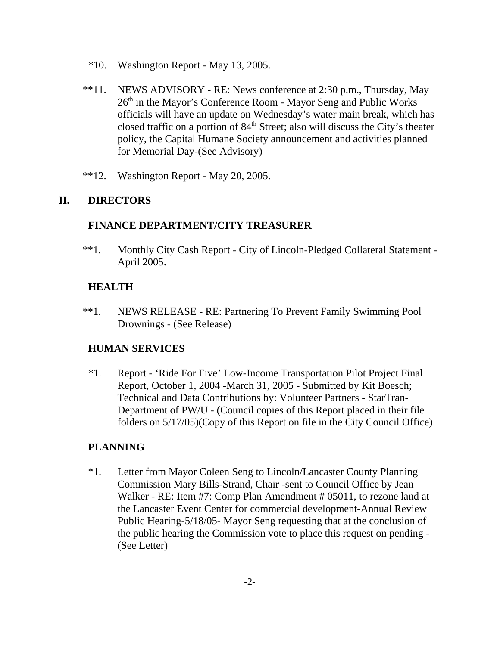- \*10. Washington Report May 13, 2005.
- \*\*11. NEWS ADVISORY RE: News conference at 2:30 p.m., Thursday, May 26<sup>th</sup> in the Mayor's Conference Room - Mayor Seng and Public Works officials will have an update on Wednesday's water main break, which has closed traffic on a portion of  $84<sup>th</sup>$  Street; also will discuss the City's theater policy, the Capital Humane Society announcement and activities planned for Memorial Day-(See Advisory)
- \*\*12. Washington Report May 20, 2005.

# **II. DIRECTORS**

### **FINANCE DEPARTMENT/CITY TREASURER**

 \*\*1. Monthly City Cash Report - City of Lincoln-Pledged Collateral Statement - April 2005.

# **HEALTH**

\*\*1. NEWS RELEASE - RE: Partnering To Prevent Family Swimming Pool Drownings - (See Release)

# **HUMAN SERVICES**

\*1. Report - 'Ride For Five' Low-Income Transportation Pilot Project Final Report, October 1, 2004 -March 31, 2005 - Submitted by Kit Boesch; Technical and Data Contributions by: Volunteer Partners - StarTran-Department of PW/U - (Council copies of this Report placed in their file folders on 5/17/05)(Copy of this Report on file in the City Council Office)

# **PLANNING**

\*1. Letter from Mayor Coleen Seng to Lincoln/Lancaster County Planning Commission Mary Bills-Strand, Chair -sent to Council Office by Jean Walker - RE: Item #7: Comp Plan Amendment # 05011, to rezone land at the Lancaster Event Center for commercial development-Annual Review Public Hearing-5/18/05- Mayor Seng requesting that at the conclusion of the public hearing the Commission vote to place this request on pending - (See Letter)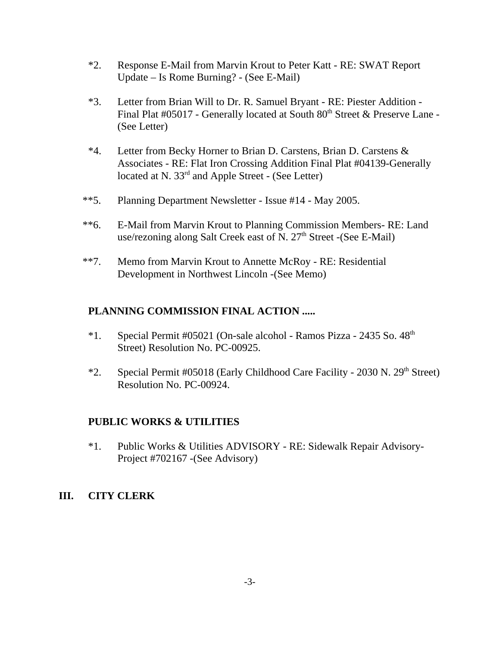- \*2. Response E-Mail from Marvin Krout to Peter Katt RE: SWAT Report Update – Is Rome Burning? - (See E-Mail)
- \*3. Letter from Brian Will to Dr. R. Samuel Bryant RE: Piester Addition Final Plat #05017 - Generally located at South 80<sup>th</sup> Street & Preserve Lane -(See Letter)
- \*4. Letter from Becky Horner to Brian D. Carstens, Brian D. Carstens & Associates - RE: Flat Iron Crossing Addition Final Plat #04139-Generally located at N. 33<sup>rd</sup> and Apple Street - (See Letter)
- \*\*5. Planning Department Newsletter Issue #14 May 2005.
- \*\*6. E-Mail from Marvin Krout to Planning Commission Members- RE: Land use/rezoning along Salt Creek east of N.  $27<sup>th</sup>$  Street -(See E-Mail)
- \*\*7. Memo from Marvin Krout to Annette McRoy RE: Residential Development in Northwest Lincoln -(See Memo)

# **PLANNING COMMISSION FINAL ACTION .....**

- $*1.$  Special Permit #05021 (On-sale alcohol Ramos Pizza 2435 So.  $48<sup>th</sup>$ Street) Resolution No. PC-00925.
- \*2. Special Permit #05018 (Early Childhood Care Facility 2030 N.  $29<sup>th</sup>$  Street) Resolution No. PC-00924.

# **PUBLIC WORKS & UTILITIES**

\*1. Public Works & Utilities ADVISORY - RE: Sidewalk Repair Advisory-Project #702167 -(See Advisory)

# **III. CITY CLERK**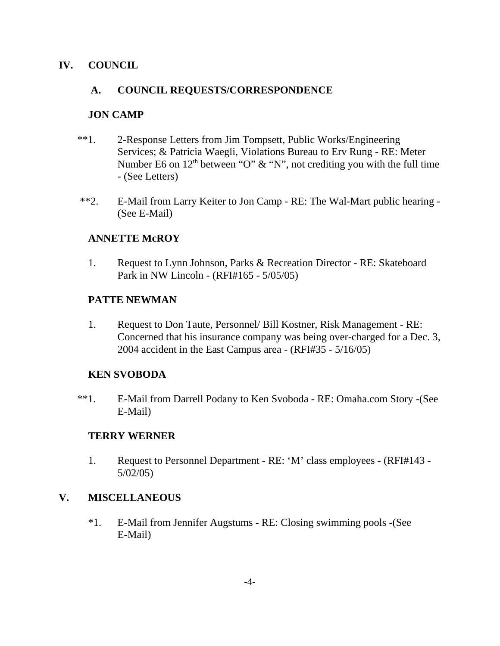### **IV. COUNCIL**

### **A. COUNCIL REQUESTS/CORRESPONDENCE**

### **JON CAMP**

- \*\*1. 2-Response Letters from Jim Tompsett, Public Works/Engineering Services; & Patricia Waegli, Violations Bureau to Erv Rung - RE: Meter Number E6 on  $12<sup>th</sup>$  between "O" & "N", not crediting you with the full time - (See Letters)
- \*\*2. E-Mail from Larry Keiter to Jon Camp RE: The Wal-Mart public hearing (See E-Mail)

### **ANNETTE McROY**

1. Request to Lynn Johnson, Parks & Recreation Director - RE: Skateboard Park in NW Lincoln - (RFI#165 - 5/05/05)

#### **PATTE NEWMAN**

1. Request to Don Taute, Personnel/ Bill Kostner, Risk Management - RE: Concerned that his insurance company was being over-charged for a Dec. 3, 2004 accident in the East Campus area - (RFI#35 - 5/16/05)

### **KEN SVOBODA**

\*\*1. E-Mail from Darrell Podany to Ken Svoboda - RE: Omaha.com Story -(See E-Mail)

#### **TERRY WERNER**

1. Request to Personnel Department - RE: 'M' class employees - (RFI#143 - 5/02/05)

# **V. MISCELLANEOUS**

\*1. E-Mail from Jennifer Augstums - RE: Closing swimming pools -(See E-Mail)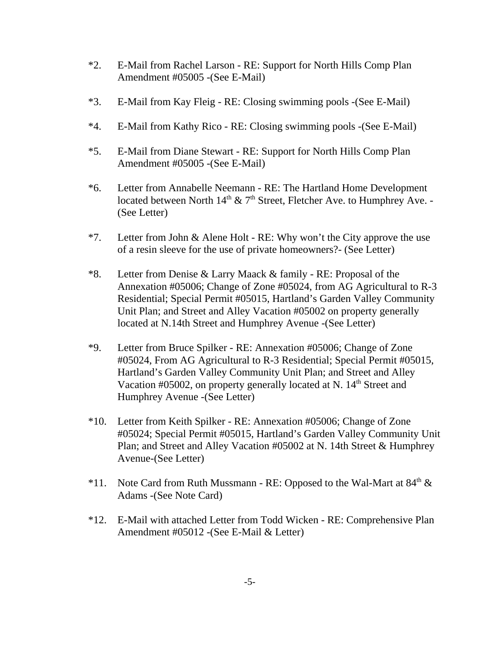- \*2. E-Mail from Rachel Larson RE: Support for North Hills Comp Plan Amendment #05005 -(See E-Mail)
- \*3. E-Mail from Kay Fleig RE: Closing swimming pools -(See E-Mail)
- \*4. E-Mail from Kathy Rico RE: Closing swimming pools -(See E-Mail)
- \*5. E-Mail from Diane Stewart RE: Support for North Hills Comp Plan Amendment #05005 -(See E-Mail)
- \*6. Letter from Annabelle Neemann RE: The Hartland Home Development located between North  $14<sup>th</sup>$  & 7<sup>th</sup> Street, Fletcher Ave. to Humphrey Ave. -(See Letter)
- \*7. Letter from John & Alene Holt RE: Why won't the City approve the use of a resin sleeve for the use of private homeowners?- (See Letter)
- \*8. Letter from Denise & Larry Maack & family RE: Proposal of the Annexation #05006; Change of Zone #05024, from AG Agricultural to R-3 Residential; Special Permit #05015, Hartland's Garden Valley Community Unit Plan; and Street and Alley Vacation #05002 on property generally located at N.14th Street and Humphrey Avenue -(See Letter)
- \*9. Letter from Bruce Spilker RE: Annexation #05006; Change of Zone #05024, From AG Agricultural to R-3 Residential; Special Permit #05015, Hartland's Garden Valley Community Unit Plan; and Street and Alley Vacation #05002, on property generally located at N.  $14<sup>th</sup>$  Street and Humphrey Avenue -(See Letter)
- \*10. Letter from Keith Spilker RE: Annexation #05006; Change of Zone #05024; Special Permit #05015, Hartland's Garden Valley Community Unit Plan; and Street and Alley Vacation #05002 at N. 14th Street & Humphrey Avenue-(See Letter)
- \*11. Note Card from Ruth Mussmann RE: Opposed to the Wal-Mart at  $84<sup>th</sup> \&$ Adams -(See Note Card)
- \*12. E-Mail with attached Letter from Todd Wicken RE: Comprehensive Plan Amendment #05012 -(See E-Mail & Letter)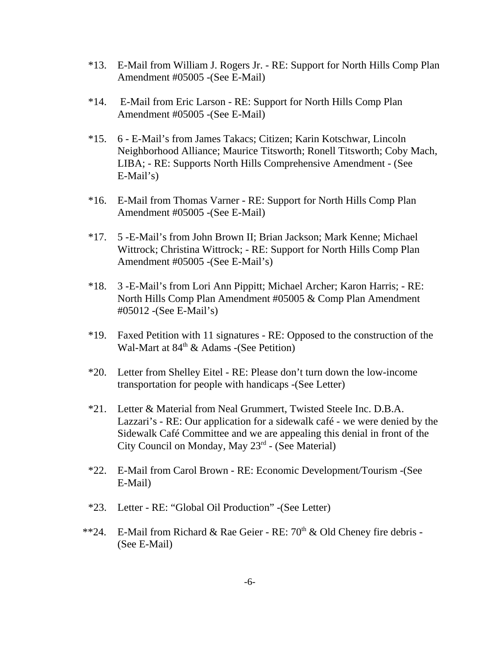- \*13. E-Mail from William J. Rogers Jr. RE: Support for North Hills Comp Plan Amendment #05005 -(See E-Mail)
- \*14. E-Mail from Eric Larson RE: Support for North Hills Comp Plan Amendment #05005 -(See E-Mail)
- \*15. 6 E-Mail's from James Takacs; Citizen; Karin Kotschwar, Lincoln Neighborhood Alliance; Maurice Titsworth; Ronell Titsworth; Coby Mach, LIBA; - RE: Supports North Hills Comprehensive Amendment - (See E-Mail's)
- \*16. E-Mail from Thomas Varner RE: Support for North Hills Comp Plan Amendment #05005 -(See E-Mail)
- \*17. 5 -E-Mail's from John Brown II; Brian Jackson; Mark Kenne; Michael Wittrock; Christina Wittrock; - RE: Support for North Hills Comp Plan Amendment #05005 -(See E-Mail's)
- \*18. 3 -E-Mail's from Lori Ann Pippitt; Michael Archer; Karon Harris; RE: North Hills Comp Plan Amendment #05005 & Comp Plan Amendment #05012 -(See E-Mail's)
- \*19. Faxed Petition with 11 signatures RE: Opposed to the construction of the Wal-Mart at  $84<sup>th</sup>$  & Adams -(See Petition)
- \*20. Letter from Shelley Eitel RE: Please don't turn down the low-income transportation for people with handicaps -(See Letter)
- \*21. Letter & Material from Neal Grummert, Twisted Steele Inc. D.B.A. Lazzari's - RE: Our application for a sidewalk café - we were denied by the Sidewalk Café Committee and we are appealing this denial in front of the City Council on Monday, May 23rd - (See Material)
- \*22. E-Mail from Carol Brown RE: Economic Development/Tourism -(See E-Mail)
- \*23. Letter RE: "Global Oil Production" -(See Letter)
- \*\*24. E-Mail from Richard & Rae Geier RE:  $70<sup>th</sup>$  & Old Cheney fire debris -(See E-Mail)